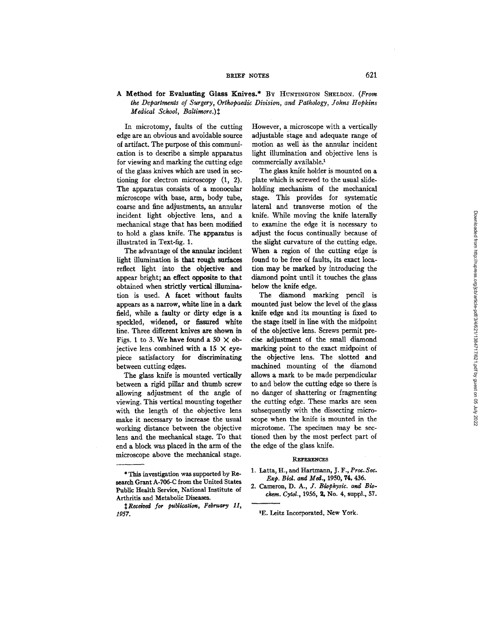## BRIEF NOTES 621

## A Method for Evaluating Glass Knives.\* By HUNTINGTON SHELDON. (From *the Departments of Surgery, Orthopaedic Division, and Pathology, Johns Hopkins Medical School, Baltimore.*) $\ddagger$

In microtomy, faults of the cutting edge are an obvious and avoidable source of artifact. The purpose of this communication is to describe a simple apparatus for viewing and marking the cutting edge of the glass knives which are used in seetioning for electron microscopy (1, 2). The apparatus consists of a monocular microscope with base, arm, body tube, coarse and fine adjustments, an annular incident light objective lens, and a mechanical stage that has been modified to hold a glass knife. The apparatus is illustrated in Text-fig. 1.

The advantage of the annular incident light illumination is that rough surfaces reflect light into the objective and appear bright; an effect opposite to that obtained when strictly vertical illumination is used. A facet without faults appears as a narrow, white line in a dark field, while a faulty or dirty edge is a speckled, widened, or fissured white line. Three different knives are shown in Figs. 1 to 3. We have found a 50  $\times$  obiective lens combined with a 15  $\times$  eyepiece satisfactory for discriminating between cutting edges.

The glass knife is mounted vertically between a rigid pillar and thumb screw allowing adjustment of the angle of viewing. This vertical mounting together with the length of the objective lens make it necessary to increase the usual working distance between the objective lens and the mechanical stage. To that end a block was placed in the arm of the microscope above the mechanical stage.

However, a microscope with a vertically adjustable stage and adequate range of motion as well as the annular incident light illumination and objective lens is commercially available?

The glass knife holder is mounted on a plate which is screwed to the usual slideholding mechanism of the mechanical stage. This provides for systematic lateral and transverse motion of the knife. While moving the knife laterally to examine the edge it is necessary to adjust the focus continually because of the slight curvature of the cutting edge. When a region of the cutting edge is found to be free of faults, its exact location may be marked by introducing the diamond point until it touches the glass below the knife edge.

The diamond marking pencil is mounted just below the level of the glass knife edge and its mounting is fixed to the stage itself in line with the midpoint of the objective lens. Screws permit precise adjustment of the small diamond marking point to the exact midpoint of the objective lens. The slotted and machined mounting of the diamond allows a mark to be made perpendicular to and below the cutting edge so there is no danger of shattering or fragmenting the cutting edge. These marks are seen subsequently with the dissecting microscope when the knife is mounted in the microtome. The specimen may be sectioned then by the most perfect part of the edge of the glass knife.

## **REFERENCES**

- 1. Latta, H., and Hartmann, J. F., *Proc.Soc. Exp. Biol. and Med.,* 1950, 74, 436.
- 2. Cameron, D. A., *J. Biophysic. and Biochem. CytoL,* 1956, 2, No. 4, suppl., 57.

<sup>\*</sup> This investigation was supported by Research Grant A-706-C from the United States Public Health Service, National Institute of Arthritis and Metabolic Diseases.

 $\texttt{1}$  Received for publication, February 11, *1957.* 

<sup>&</sup>lt;sup>1</sup>E. Leitz Incorporated, New York.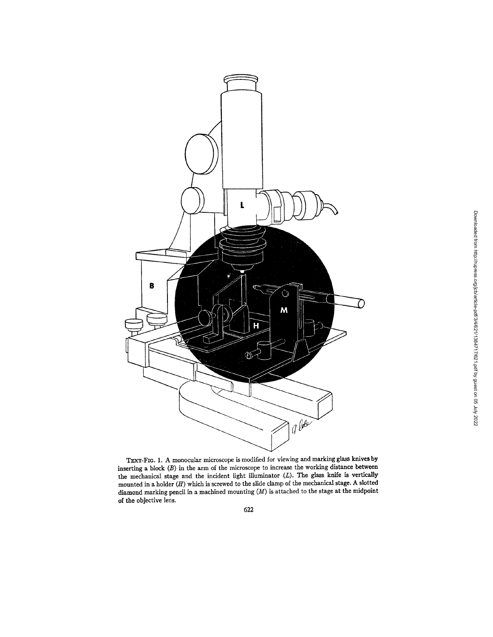

TEXT-FIG. 1. A monocular microscope is modified for viewing and marking glass knives by inserting a block (B) in the arm of the microscope to increase the working distance between the mechanical stage and the incident light illuminator (L). The glass knife is vertically mounted in a holder  $(H)$  which is screwed to the slide clamp of the mechanical stage. A slotted diamond marking pencil in a machined mounting (M) is attached to the stage at the midpoint of the objective lens.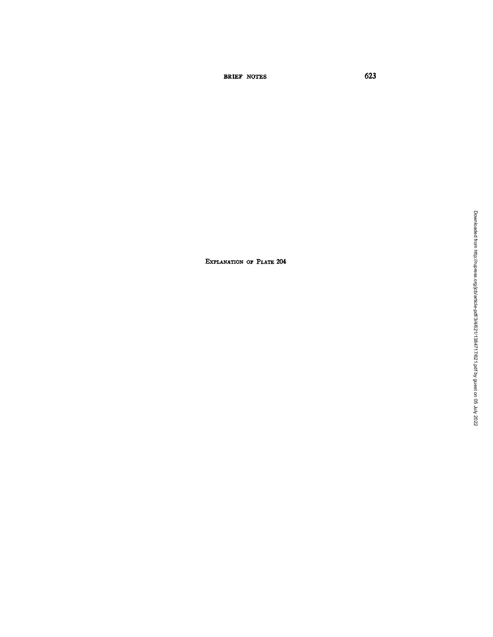BRIEF NOTES 623

EXPLANATION OF PLATE 204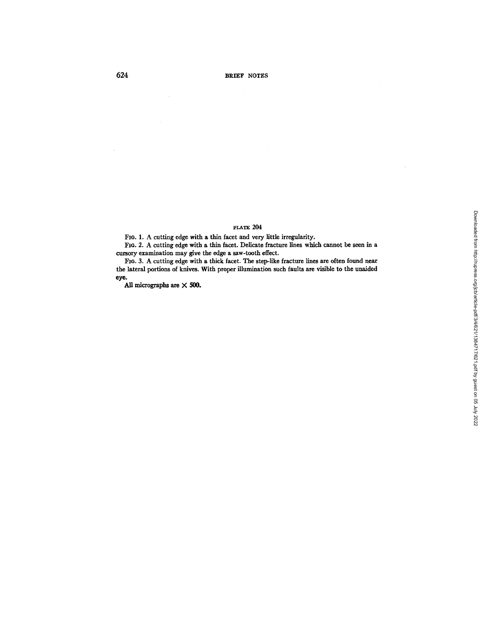## PLATE 204

FIO. 1. A cutting edge with a thin facet and very little irregularity.

FIo. 2. A cutting edge with a thin facet. Delicate fracture lines which cannot be seen in a cursory examination may give the edge a saw-tooth effect.

FIo. 3. A cutting edge with a thick facet. The step-like fracture lines are often found near the lateral portions of knives. With proper illumination such faults are visible to the unaided **eye.** 

All micrographs are  $\times$  500.